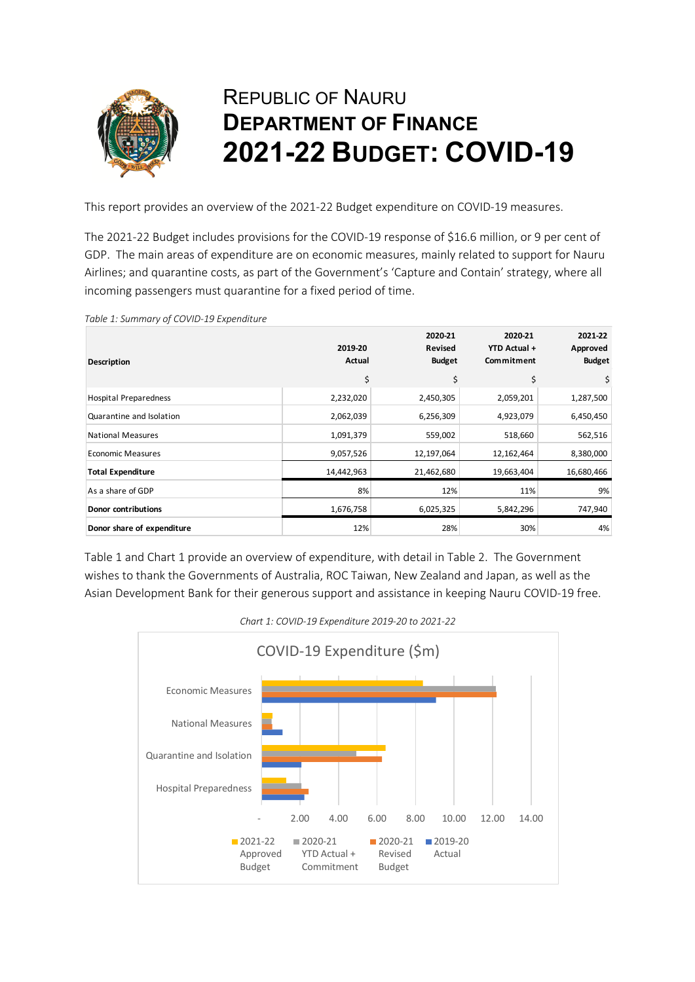

## REPUBLIC OF NAURU **DEPARTMENT OF FINANCE 2021-22 BUDGET: COVID-19**

This report provides an overview of the 2021-22 Budget expenditure on COVID-19 measures.

The 2021-22 Budget includes provisions for the COVID-19 response of \$16.6 million, or 9 per cent of GDP. The main areas of expenditure are on economic measures, mainly related to support for Nauru Airlines; and quarantine costs, as part of the Government's 'Capture and Contain' strategy, where all incoming passengers must quarantine for a fixed period of time.

| Table 1. Sammary of COVID 13 Experience |                   |                                            |                                       |                                      |
|-----------------------------------------|-------------------|--------------------------------------------|---------------------------------------|--------------------------------------|
| Description                             | 2019-20<br>Actual | 2020-21<br><b>Revised</b><br><b>Budget</b> | 2020-21<br>YTD Actual +<br>Commitment | 2021-22<br>Approved<br><b>Budget</b> |
|                                         | \$                | \$                                         | \$                                    | \$                                   |
| <b>Hospital Preparedness</b>            | 2,232,020         | 2,450,305                                  | 2,059,201                             | 1,287,500                            |
| Quarantine and Isolation                | 2,062,039         | 6,256,309                                  | 4,923,079                             | 6,450,450                            |
| <b>National Measures</b>                | 1,091,379         | 559,002                                    | 518,660                               | 562,516                              |
| <b>Economic Measures</b>                | 9,057,526         | 12,197,064                                 | 12,162,464                            | 8,380,000                            |
| <b>Total Expenditure</b>                | 14,442,963        | 21,462,680                                 | 19,663,404                            | 16,680,466                           |
| As a share of GDP                       | 8%                | 12%                                        | 11%                                   | 9%                                   |
| <b>Donor contributions</b>              | 1,676,758         | 6,025,325                                  | 5,842,296                             | 747,940                              |
| Donor share of expenditure              | 12%               | 28%                                        | 30%                                   | 4%                                   |

*Table 1: Summary of COVID-19 Expenditure* 

Table 1 and Chart 1 provide an overview of expenditure, with detail in Table 2. The Government wishes to thank the Governments of Australia, ROC Taiwan, New Zealand and Japan, as well as the Asian Development Bank for their generous support and assistance in keeping Nauru COVID-19 free.



*Chart 1: COVID-19 Expenditure 2019-20 to 2021-22*